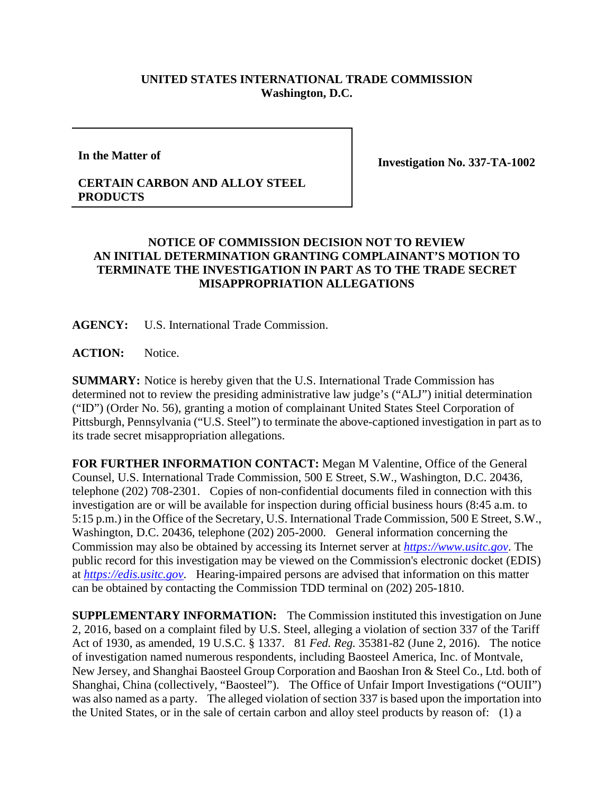## **UNITED STATES INTERNATIONAL TRADE COMMISSION Washington, D.C.**

**In the Matter of**

**Investigation No. 337-TA-1002**

## **CERTAIN CARBON AND ALLOY STEEL PRODUCTS**

## **NOTICE OF COMMISSION DECISION NOT TO REVIEW AN INITIAL DETERMINATION GRANTING COMPLAINANT'S MOTION TO TERMINATE THE INVESTIGATION IN PART AS TO THE TRADE SECRET MISAPPROPRIATION ALLEGATIONS**

**AGENCY:** U.S. International Trade Commission.

ACTION: Notice.

**SUMMARY:** Notice is hereby given that the U.S. International Trade Commission has determined not to review the presiding administrative law judge's ("ALJ") initial determination ("ID") (Order No. 56), granting a motion of complainant United States Steel Corporation of Pittsburgh, Pennsylvania ("U.S. Steel") to terminate the above-captioned investigation in part as to its trade secret misappropriation allegations.

**FOR FURTHER INFORMATION CONTACT:** Megan M Valentine, Office of the General Counsel, U.S. International Trade Commission, 500 E Street, S.W., Washington, D.C. 20436, telephone (202) 708-2301. Copies of non-confidential documents filed in connection with this investigation are or will be available for inspection during official business hours (8:45 a.m. to 5:15 p.m.) in the Office of the Secretary, U.S. International Trade Commission, 500 E Street, S.W., Washington, D.C. 20436, telephone (202) 205-2000. General information concerning the Commission may also be obtained by accessing its Internet server at *[https://www.usitc.gov](https://www.usitc.gov/)*. The public record for this investigation may be viewed on the Commission's electronic docket (EDIS) at *[https://edis.usitc.gov](https://edis.usitc.gov/)*. Hearing-impaired persons are advised that information on this matter can be obtained by contacting the Commission TDD terminal on (202) 205-1810.

**SUPPLEMENTARY INFORMATION:** The Commission instituted this investigation on June 2, 2016, based on a complaint filed by U.S. Steel, alleging a violation of section 337 of the Tariff Act of 1930, as amended, 19 U.S.C. § 1337. 81 *Fed. Reg.* 35381-82 (June 2, 2016). The notice of investigation named numerous respondents, including Baosteel America, Inc. of Montvale, New Jersey, and Shanghai Baosteel Group Corporation and Baoshan Iron & Steel Co., Ltd. both of Shanghai, China (collectively, "Baosteel"). The Office of Unfair Import Investigations ("OUII") was also named as a party. The alleged violation of section 337 is based upon the importation into the United States, or in the sale of certain carbon and alloy steel products by reason of: (1) a